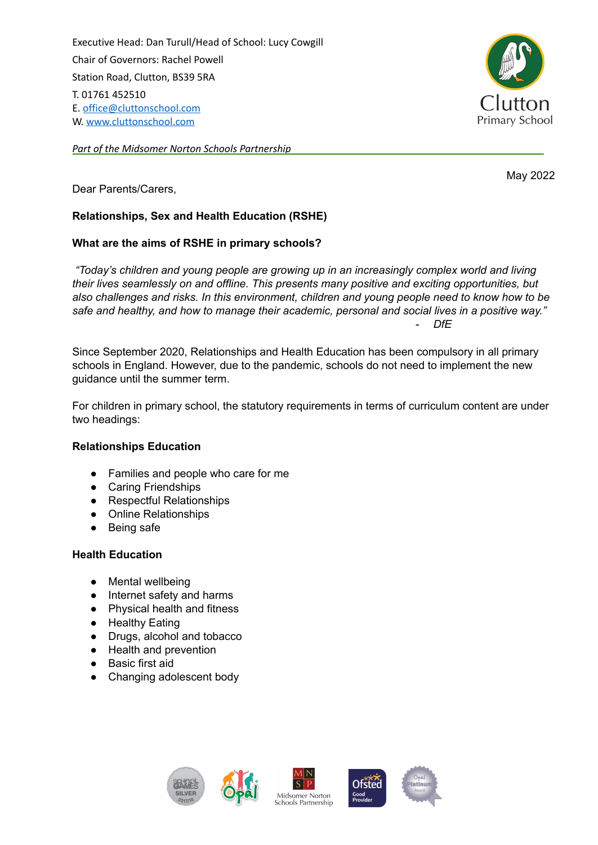Executive Head: Dan Turull/Head of School: Lucy Cowgill Chair of Governors: Rachel Powell Station Road, Clutton, BS39 5RA T. 01761 452510 E. [office@cluttonschool.com](mailto:office@cluttonschool.com) W. [www.cluttonschool.com](http://www.cluttonschool.com)

*Part of the Midsomer Norton Schools Partnership*



May 2022

Dear Parents/Carers,

# **Relationships, Sex and Health Education (RSHE)**

# **What are the aims of RSHE in primary schools?**

*"Today's children and young people are growing up in an increasingly complex world and living their lives seamlessly on and offline. This presents many positive and exciting opportunities, but also challenges and risks. In this environment, children and young people need to know how to be safe and healthy, and how to manage their academic, personal and social lives in a positive way." - DfE*

Since September 2020, Relationships and Health Education has been compulsory in all primary schools in England. However, due to the pandemic, schools do not need to implement the new guidance until the summer term.

For children in primary school, the statutory requirements in terms of curriculum content are under two headings:

# **Relationships Education**

- Families and people who care for me
- Caring Friendships
- Respectful Relationships
- Online Relationships
- Being safe

### **Health Education**

- Mental wellbeing
- Internet safety and harms
- Physical health and fitness
- Healthy Eating
- Drugs, alcohol and tobacco
- Health and prevention
- Basic first aid
- Changing adolescent body







**Ofsted** 



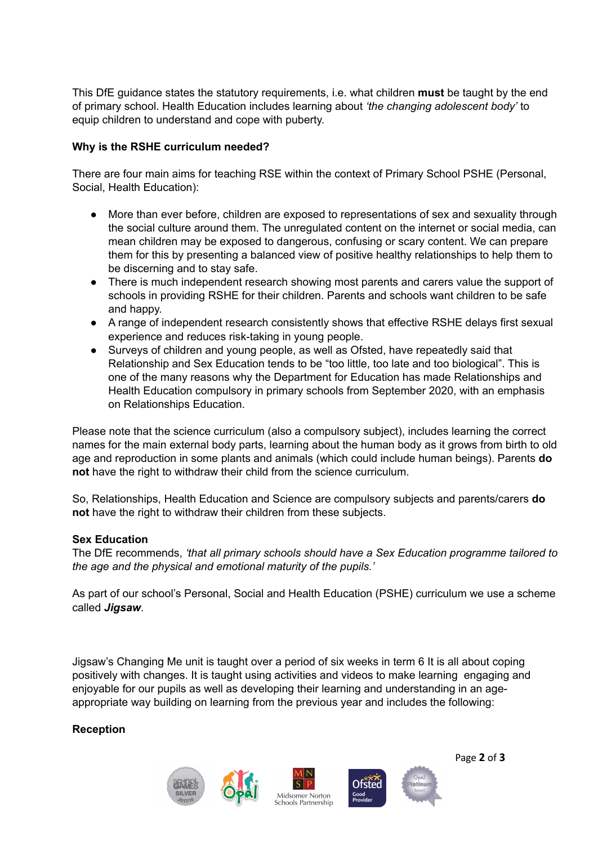This DfE guidance states the statutory requirements, i.e. what children **must** be taught by the end of primary school. Health Education includes learning about *'the changing adolescent body'* to equip children to understand and cope with puberty.

# **Why is the RSHE curriculum needed?**

There are four main aims for teaching RSE within the context of Primary School PSHE (Personal, Social, Health Education):

- More than ever before, children are exposed to representations of sex and sexuality through the social culture around them. The unregulated content on the internet or social media, can mean children may be exposed to dangerous, confusing or scary content. We can prepare them for this by presenting a balanced view of positive healthy relationships to help them to be discerning and to stay safe.
- There is much independent research showing most parents and carers value the support of schools in providing RSHE for their children. Parents and schools want children to be safe and happy.
- A range of independent research consistently shows that effective RSHE delays first sexual experience and reduces risk-taking in young people.
- Surveys of children and young people, as well as Ofsted, have repeatedly said that Relationship and Sex Education tends to be "too little, too late and too biological". This is one of the many reasons why the Department for Education has made Relationships and Health Education compulsory in primary schools from September 2020, with an emphasis on Relationships Education.

Please note that the science curriculum (also a compulsory subject), includes learning the correct names for the main external body parts, learning about the human body as it grows from birth to old age and reproduction in some plants and animals (which could include human beings). Parents **do not** have the right to withdraw their child from the science curriculum.

So, Relationships, Health Education and Science are compulsory subjects and parents/carers **do not** have the right to withdraw their children from these subjects.

### **Sex Education**

The DfE recommends, *'that all primary schools should have a Sex Education programme tailored to the age and the physical and emotional maturity of the pupils.'*

As part of our school's Personal, Social and Health Education (PSHE) curriculum we use a scheme called *Jigsaw*.

Jigsaw's Changing Me unit is taught over a period of six weeks in term 6 It is all about coping positively with changes. It is taught using activities and videos to make learning engaging and enjoyable for our pupils as well as developing their learning and understanding in an ageappropriate way building on learning from the previous year and includes the following:

### **Reception**



Page **2** of **3**